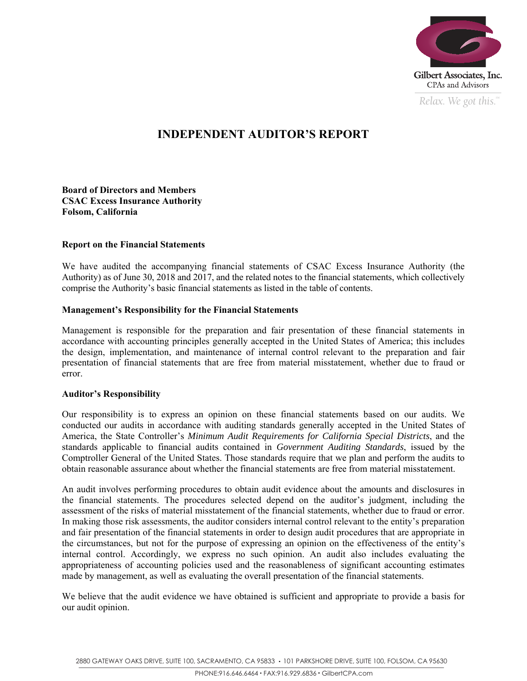

*Relax. We got this.*  $\alpha$ 

# **INDEPENDENT AUDITOR'S REPORT**

# **Board of Directors and Members CSAC Excess Insurance Authority Folsom, California**

#### **Report on the Financial Statements**

We have audited the accompanying financial statements of CSAC Excess Insurance Authority (the Authority) as of June 30, 2018 and 2017, and the related notes to the financial statements, which collectively comprise the Authority's basic financial statements as listed in the table of contents.

## **Management's Responsibility for the Financial Statements**

Management is responsible for the preparation and fair presentation of these financial statements in accordance with accounting principles generally accepted in the United States of America; this includes the design, implementation, and maintenance of internal control relevant to the preparation and fair presentation of financial statements that are free from material misstatement, whether due to fraud or error.

#### **Auditor's Responsibility**

Our responsibility is to express an opinion on these financial statements based on our audits. We conducted our audits in accordance with auditing standards generally accepted in the United States of America, the State Controller's *Minimum Audit Requirements for California Special Districts*, and the standards applicable to financial audits contained in *Government Auditing Standards*, issued by the Comptroller General of the United States. Those standards require that we plan and perform the audits to obtain reasonable assurance about whether the financial statements are free from material misstatement.

An audit involves performing procedures to obtain audit evidence about the amounts and disclosures in the financial statements. The procedures selected depend on the auditor's judgment, including the assessment of the risks of material misstatement of the financial statements, whether due to fraud or error. In making those risk assessments, the auditor considers internal control relevant to the entity's preparation and fair presentation of the financial statements in order to design audit procedures that are appropriate in the circumstances, but not for the purpose of expressing an opinion on the effectiveness of the entity's internal control. Accordingly, we express no such opinion. An audit also includes evaluating the appropriateness of accounting policies used and the reasonableness of significant accounting estimates made by management, as well as evaluating the overall presentation of the financial statements.

We believe that the audit evidence we have obtained is sufficient and appropriate to provide a basis for our audit opinion.

2880 GATEWAY OAKS DRIVE, SUITE 100, SACRAMENTO, CA 95833 · 101 PARKSHORE DRIVE, SUITE 100, FOLSOM, CA 95630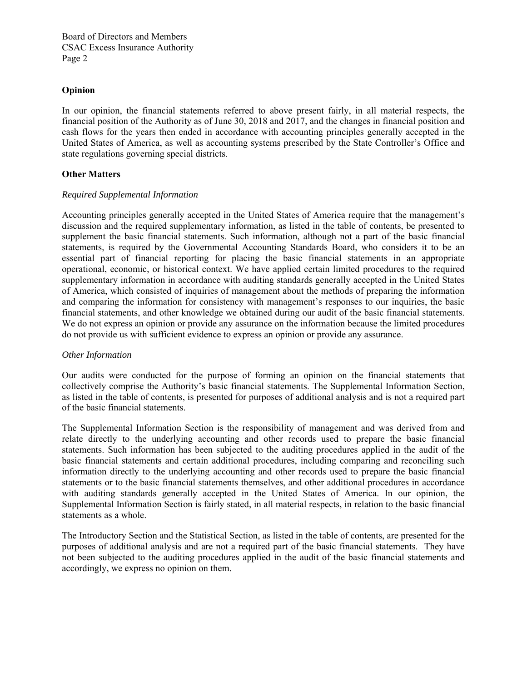Board of Directors and Members CSAC Excess Insurance Authority Page 2

## **Opinion**

In our opinion, the financial statements referred to above present fairly, in all material respects, the financial position of the Authority as of June 30, 2018 and 2017, and the changes in financial position and cash flows for the years then ended in accordance with accounting principles generally accepted in the United States of America, as well as accounting systems prescribed by the State Controller's Office and state regulations governing special districts.

## **Other Matters**

## *Required Supplemental Information*

Accounting principles generally accepted in the United States of America require that the management's discussion and the required supplementary information, as listed in the table of contents, be presented to supplement the basic financial statements. Such information, although not a part of the basic financial statements, is required by the Governmental Accounting Standards Board, who considers it to be an essential part of financial reporting for placing the basic financial statements in an appropriate operational, economic, or historical context. We have applied certain limited procedures to the required supplementary information in accordance with auditing standards generally accepted in the United States of America, which consisted of inquiries of management about the methods of preparing the information and comparing the information for consistency with management's responses to our inquiries, the basic financial statements, and other knowledge we obtained during our audit of the basic financial statements. We do not express an opinion or provide any assurance on the information because the limited procedures do not provide us with sufficient evidence to express an opinion or provide any assurance.

# *Other Information*

Our audits were conducted for the purpose of forming an opinion on the financial statements that collectively comprise the Authority's basic financial statements. The Supplemental Information Section, as listed in the table of contents, is presented for purposes of additional analysis and is not a required part of the basic financial statements.

The Supplemental Information Section is the responsibility of management and was derived from and relate directly to the underlying accounting and other records used to prepare the basic financial statements. Such information has been subjected to the auditing procedures applied in the audit of the basic financial statements and certain additional procedures, including comparing and reconciling such information directly to the underlying accounting and other records used to prepare the basic financial statements or to the basic financial statements themselves, and other additional procedures in accordance with auditing standards generally accepted in the United States of America. In our opinion, the Supplemental Information Section is fairly stated, in all material respects, in relation to the basic financial statements as a whole.

The Introductory Section and the Statistical Section, as listed in the table of contents, are presented for the purposes of additional analysis and are not a required part of the basic financial statements. They have not been subjected to the auditing procedures applied in the audit of the basic financial statements and accordingly, we express no opinion on them.